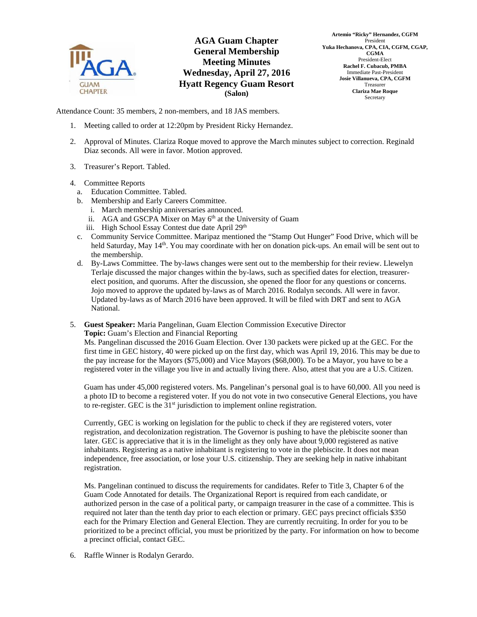

## **AGA Guam Chapter General Membership Meeting Minutes Wednesday, April 27, 2016 Hyatt Regency Guam Resort (Salon)**



Attendance Count: 35 members, 2 non-members, and 18 JAS members.

- 1. Meeting called to order at 12:20pm by President Ricky Hernandez.
- 2. Approval of Minutes. Clariza Roque moved to approve the March minutes subject to correction. Reginald Diaz seconds. All were in favor. Motion approved.
- 3. Treasurer's Report. Tabled.
- 4. Committee Reports
	- a. Education Committee. Tabled.
	- b. Membership and Early Careers Committee.
		- i. March membership anniversaries announced.
		- ii. AGA and GSCPA Mixer on May 6<sup>th</sup> at the University of Guam
		- iii. High School Essay Contest due date April 29<sup>th</sup>
	- c. Community Service Committee. Maripaz mentioned the "Stamp Out Hunger" Food Drive, which will be held Saturday, May 14<sup>th</sup>. You may coordinate with her on donation pick-ups. An email will be sent out to the membership.
	- d. By-Laws Committee. The by-laws changes were sent out to the membership for their review. Llewelyn Terlaje discussed the major changes within the by-laws, such as specified dates for election, treasurerelect position, and quorums. After the discussion, she opened the floor for any questions or concerns. Jojo moved to approve the updated by-laws as of March 2016. Rodalyn seconds. All were in favor. Updated by-laws as of March 2016 have been approved. It will be filed with DRT and sent to AGA National.
- 5. **Guest Speaker:** Maria Pangelinan, Guam Election Commission Executive Director **Topic:** Guam's Election and Financial Reporting

Ms. Pangelinan discussed the 2016 Guam Election. Over 130 packets were picked up at the GEC. For the first time in GEC history, 40 were picked up on the first day, which was April 19, 2016. This may be due to the pay increase for the Mayors (\$75,000) and Vice Mayors (\$68,000). To be a Mayor, you have to be a registered voter in the village you live in and actually living there. Also, attest that you are a U.S. Citizen.

Guam has under 45,000 registered voters. Ms. Pangelinan's personal goal is to have 60,000. All you need is a photo ID to become a registered voter. If you do not vote in two consecutive General Elections, you have to re-register. GEC is the  $31<sup>st</sup>$  jurisdiction to implement online registration.

Currently, GEC is working on legislation for the public to check if they are registered voters, voter registration, and decolonization registration. The Governor is pushing to have the plebiscite sooner than later. GEC is appreciative that it is in the limelight as they only have about 9,000 registered as native inhabitants. Registering as a native inhabitant is registering to vote in the plebiscite. It does not mean independence, free association, or lose your U.S. citizenship. They are seeking help in native inhabitant registration.

Ms. Pangelinan continued to discuss the requirements for candidates. Refer to Title 3, Chapter 6 of the Guam Code Annotated for details. The Organizational Report is required from each candidate, or authorized person in the case of a political party, or campaign treasurer in the case of a committee. This is required not later than the tenth day prior to each election or primary. GEC pays precinct officials \$350 each for the Primary Election and General Election. They are currently recruiting. In order for you to be prioritized to be a precinct official, you must be prioritized by the party. For information on how to become a precinct official, contact GEC.

6. Raffle Winner is Rodalyn Gerardo.